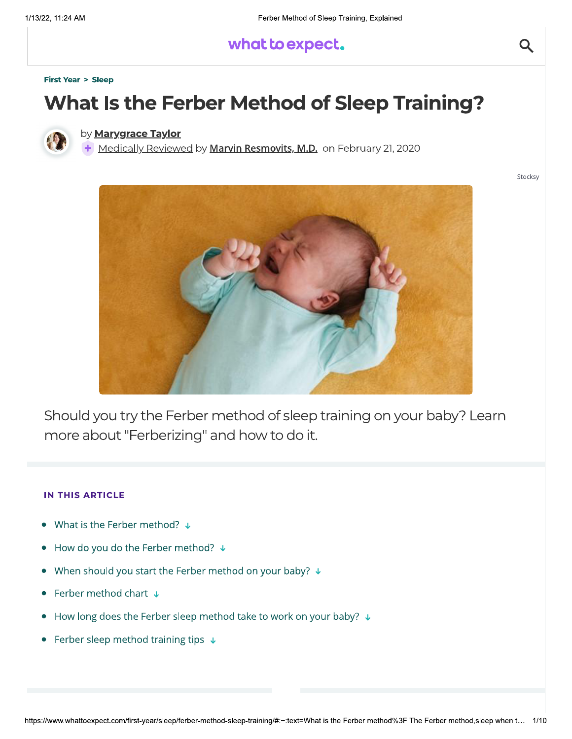#### **First Year > Sleep**

# **What Is the Ferber Method of Sleep Training?**



#### by **Marygrace Taylor**

Medically Reviewed by Marvin Resmovits, M.D. on February 21, 2020



Should you try the Ferber method of sleep training on your baby? Learn more about "Ferberizing" and how to do it.

#### **IN THIS ARTICLE**

- What is the Ferber method?  $\downarrow$
- How do you do the Ferber method? ↓
- When should you start the Ferber method on your baby? ↓  $\bullet$
- Ferber method chart ↓
- How long does the Ferber sleep method take to work on your baby? ↓  $\bullet$
- Ferber sleep method training tips  $\downarrow$  $\bullet$

Stocksy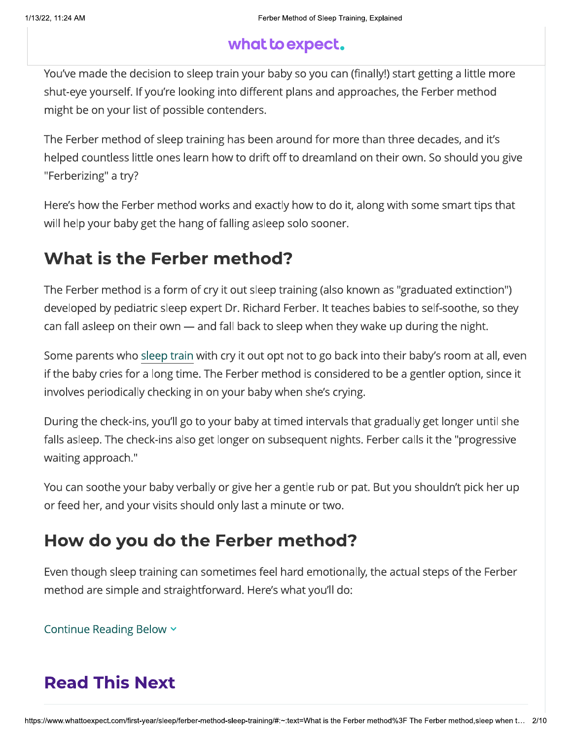You've made the decision to sleep train your baby so you can (finally!) start getting a little more shut-eye yourself. If you're looking into different plans and approaches, the Ferber method might be on your list of possible contenders.

The Ferber method of sleep training has been around for more than three decades, and it's helped countless little ones learn how to drift off to dreamland on their own. So should you give "Ferberizing" a try?

Here's how the Ferber method works and exactly how to do it, along with some smart tips that will help your baby get the hang of falling asleep solo sooner.

# What is the Ferber method?

The Ferber method is a form of cry it out sleep training (also known as "graduated extinction") developed by pediatric sleep expert Dr. Richard Ferber. It teaches babies to self-soothe, so they can fall asleep on their own — and fall back to sleep when they wake up during the night.

Some parents who sleep train with cry it out opt not to go back into their baby's room at all, even if the baby cries for a long time. The Ferber method is considered to be a gentler option, since it involves periodically checking in on your baby when she's crying.

During the check-ins, you'll go to your baby at timed intervals that gradually get longer until she falls asleep. The check-ins also get longer on subsequent nights. Ferber calls it the "progressive waiting approach."

You can soothe your baby verbally or give her a gentle rub or pat. But you shouldn't pick her up or feed her, and your visits should only last a minute or two.

# How do you do the Ferber method?

Even though sleep training can sometimes feel hard emotionally, the actual steps of the Ferber method are simple and straightforward. Here's what you'll do:

Continue Reading Below ~

# **Read This Next**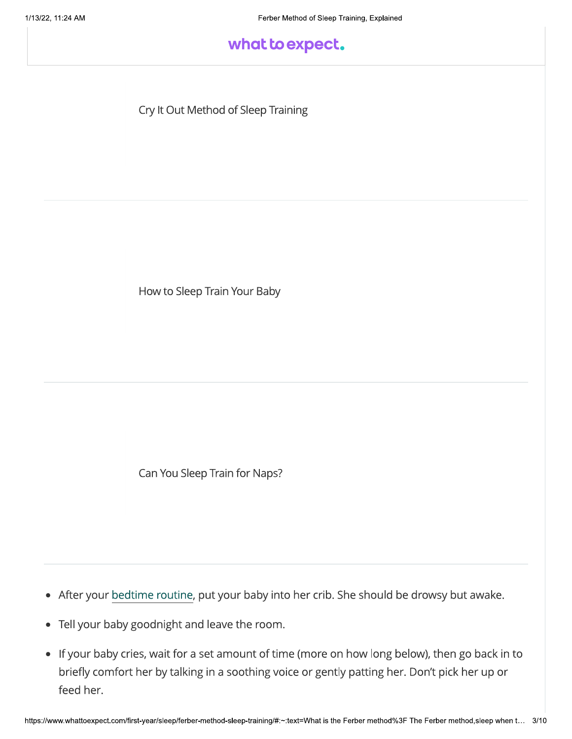Cry It Out Method of Sleep Training

How to Sleep Train Your Baby

Can You Sleep Train for Naps?

• After your bedtime routine, put your baby into her crib. She should be drowsy but awake.

- Tell your baby goodnight and leave the room.
- If your baby cries, wait for a set amount of time (more on how long below), then go back in to briefly comfort her by talking in a soothing voice or gently patting her. Don't pick her up or feed her.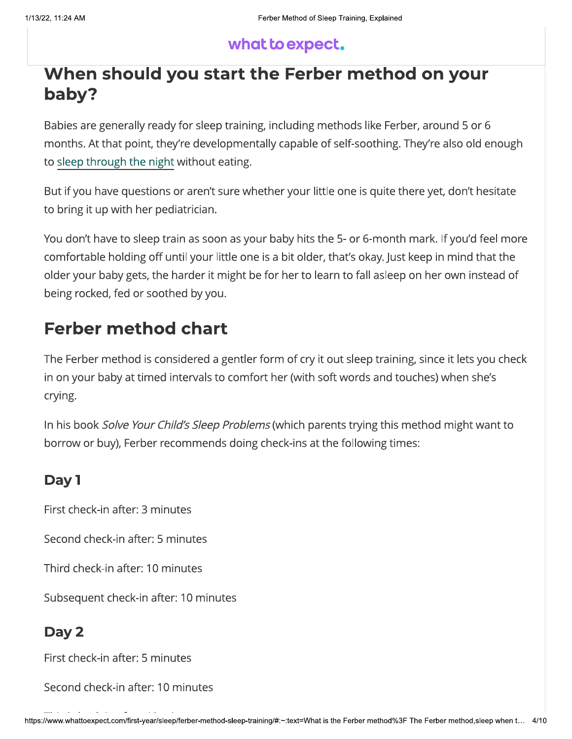# When should you start the Ferber method on your baby?

Babies are generally ready for sleep training, including methods like Ferber, around 5 or 6 months. At that point, they're developmentally capable of self-soothing. They're also old enough to sleep through the night without eating.

But if you have questions or aren't sure whether your little one is quite there yet, don't hesitate to bring it up with her pediatrician.

You don't have to sleep train as soon as your baby hits the 5- or 6-month mark. If you'd feel more comfortable holding off until your little one is a bit older, that's okay. Just keep in mind that the older your baby gets, the harder it might be for her to learn to fall asleep on her own instead of being rocked, fed or soothed by you.

# **Ferber method chart**

The Ferber method is considered a gentler form of cry it out sleep training, since it lets you check in on your baby at timed intervals to comfort her (with soft words and touches) when she's crying.

In his book Solve Your Child's Sleep Problems (which parents trying this method might want to borrow or buy), Ferber recommends doing check-ins at the following times:

# Day 1

First check-in after: 3 minutes

Second check-in after: 5 minutes

Third check-in after: 10 minutes

Subsequent check-in after: 10 minutes

# Day 2

First check-in after: 5 minutes

Second check-in after: 10 minutes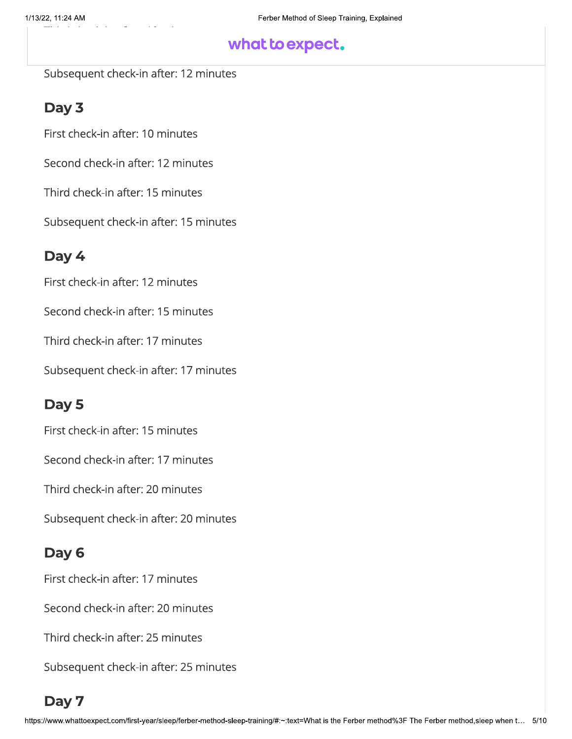Subsequent check-in after: 12 minutes

,-./012-3245.617893/:1;<1=.6>93?

### Day 3

First check-in after: 10 minutes

Second check-in after: 12 minutes

Third check-in after: 15 minutes

Subsequent check-in after: 15 minutes

### Day 4

First check-in after: 12 minutes

Second check-in after: 15 minutes

Third check-in after: 17 minutes

Subsequent check-in after: 17 minutes

## Day 5

First check-in after: 15 minutes

Second check-in after: 17 minutes

Third check-in after: 20 minutes

Subsequent check-in after: 20 minutes

## Day 6

First check-in after: 17 minutes

Second check-in after: 20 minutes

Third check-in after: 25 minutes

Subsequent check-in after: 25 minutes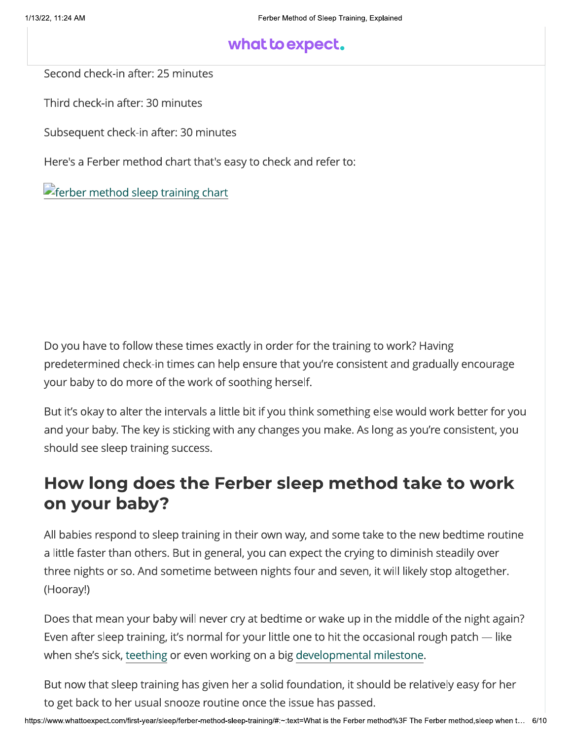Second check-in after: 25 minutes

Third check-in after: 30 minutes

Subsequent check-in after: 30 minutes

Here's a Ferber method chart that's easy to check and refer to:

**D**-ferber method sleep training chart

Do you have to follow these times exactly in order for the training to work? Having predetermined check-in times can help ensure that you're consistent and gradually encourage your baby to do more of the work of soothing herself.

But it's okay to alter the intervals a little bit if you think something else would work better for you and your baby. The key is sticking with any changes you make. As long as you're consistent, you should see sleep training success.

# How long does the Ferber sleep method take to work on your baby?

All babies respond to sleep training in their own way, and some take to the new bedtime routine a little faster than others. But in general, you can expect the crying to diminish steadily over three nights or so. And sometime between nights four and seven, it will likely stop altogether. (Hooray!)

Does that mean your baby will never cry at bedtime or wake up in the middle of the night again? Even after sleep training, it's normal for your little one to hit the occasional rough patch — like when she's sick, teething or even working on a big developmental milestone.

when she's sick, <u>teething</u> or even working on a big <u>developmental r</u><br>But now that sleep training has given her a solid foundation, it shot<br>to get back to her usual snooze routine once the issue has passed.<br>https://www.wh But now that sleep training has given her a solid foundation, it should be relatively easy for her to get back to her usual snooze routine once the issue has passed.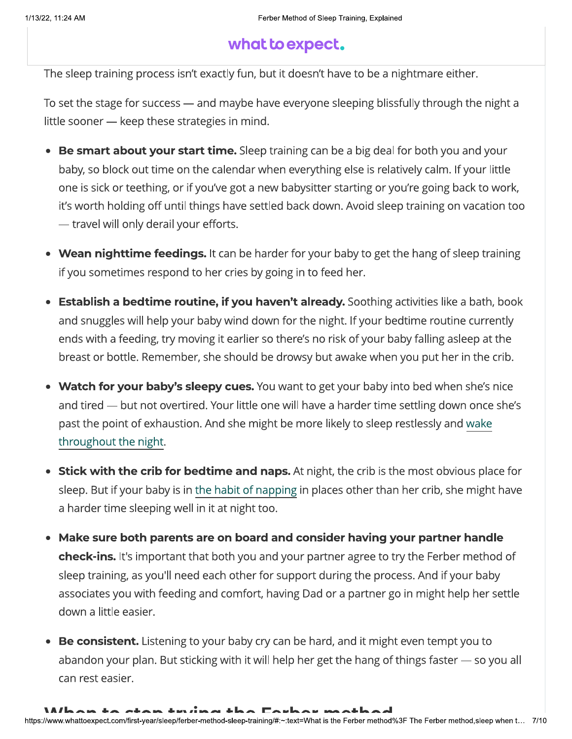The sleep training process isn't exactly fun, but it doesn't have to be a nightmare either.

To set the stage for success — and maybe have everyone sleeping blissfully through the night a little sooner — keep these strategies in mind.

- Be smart about your start time. Sleep training can be a big deal for both you and your baby, so block out time on the calendar when everything else is relatively calm. If your little one is sick or teething, or if you've got a new babysitter starting or you're going back to work, it's worth holding off until things have settled back down. Avoid sleep training on vacation too - travel will only derail your efforts.
- Wean nighttime feedings. It can be harder for your baby to get the hang of sleep training if you sometimes respond to her cries by going in to feed her.
- **Establish a bedtime routine, if you haven't already.** Soothing activities like a bath, book and snuggles will help your baby wind down for the night. If your bedtime routine currently ends with a feeding, try moving it earlier so there's no risk of your baby falling asleep at the breast or bottle. Remember, she should be drowsy but awake when you put her in the crib.
- **Watch for your baby's sleepy cues.** You want to get your baby into bed when she's nice and tired — but not overtired. Your little one will have a harder time settling down once she's past the point of exhaustion. And she might be more likely to sleep restlessly and wake throughout the night.
- Stick with the crib for bedtime and naps. At night, the crib is the most obvious place for sleep. But if your baby is in the habit of napping in places other than her crib, she might have a harder time sleeping well in it at night too.
- Make sure both parents are on board and consider having your partner handle **check-ins.** It's important that both you and your partner agree to try the Ferber method of sleep training, as you'll need each other for support during the process. And if your baby associates you with feeding and comfort, having Dad or a partner go in might help her settle down a little easier.
- **Be consistent.** Listening to your baby cry can be hard, and it might even tempt you to abandon your plan. But sticking with it will help her get the hang of things faster - so you all can rest easier.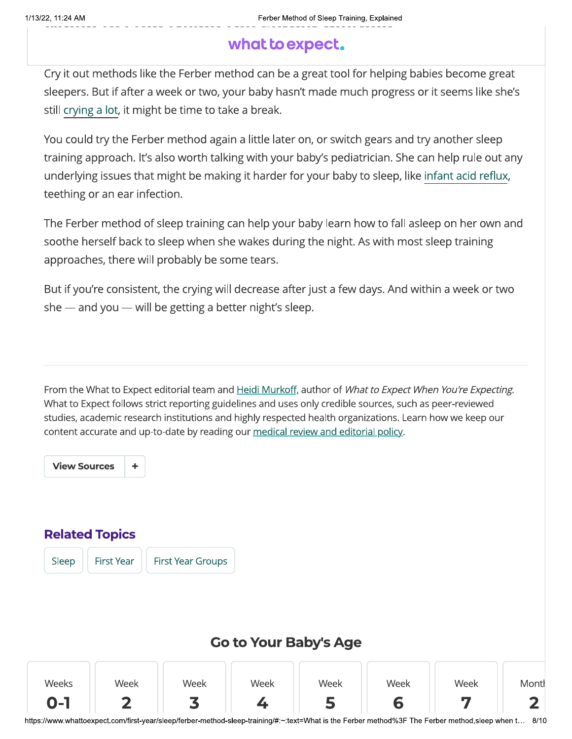Cry it out methods like the Ferber method can be a great tool for helping babies become great sleepers. But if after a week or two, your baby hasn't made much progress or it seems like she's still crying a lot, it might be time to take a break.

You could try the Ferber method again a little later on, or switch gears and try another sleep training approach. It's also worth talking with your baby's pediatrician. She can help rule out any underlying issues that might be making it harder for your baby to sleep, like infant acid reflux, teething or an ear infection.

The Ferber method of sleep training can help your baby learn how to fall asleep on her own and soothe herself back to sleep when she wakes during the night. As with most sleep training approaches, there will probably be some tears.

But if you're consistent, the crying will decrease after just a few days. And within a week or two she — and you — will be getting a better night's sleep.

From the What to Expect editorial team and Heidi Murkoff, author of What to Expect When You're Expecting. What to Expect follows strict reporting guidelines and uses only credible sources, such as peer-reviewed studies, academic research institutions and highly respected health organizations. Learn how we keep our content accurate and up-to-date by reading our medical review and editorial policy.





## **Go to Your Baby's Age**



https://www.whattoexpect.com/first-year/sleep/ferber-method-sleep-training/#:~:text=What is the Ferber method%3F The Ferber method,sleep when t... 8/10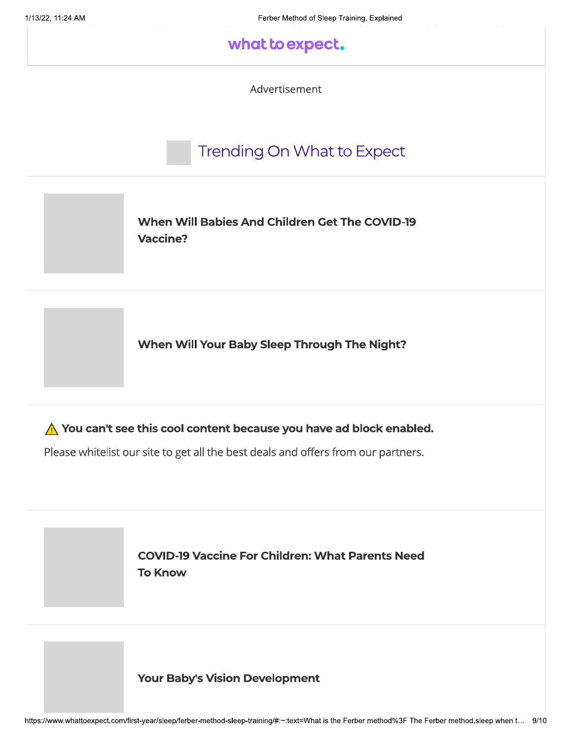Advertisement

**Trending On What to Expect** 

When Will Babies And Children Get The COVID-19 **Vaccine?** 

When Will Your Baby Sleep Through The Night?

 $\Lambda$  You can't see this cool content because you have ad block enabled.

Please whitelist our site to get all the best deals and offers from our partners.

**COVID-19 Vaccine For Children: What Parents Need To Know** 

#### **Your Baby's Vision Development**